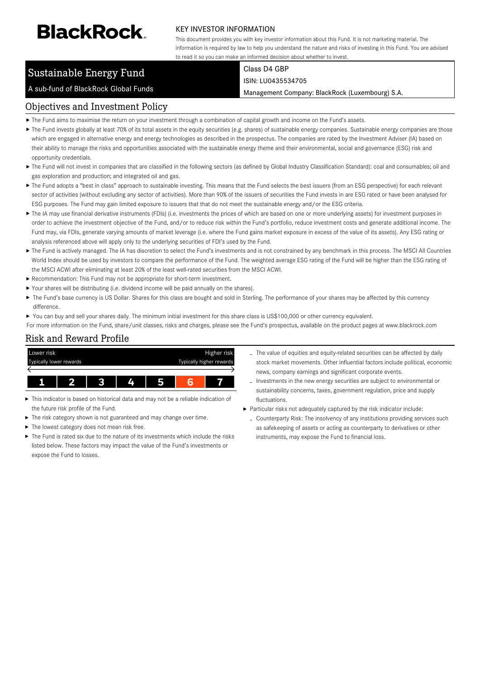# **BlackRock**

#### KEY INVESTOR INFORMATION

This document provides you with key investor information about this Fund. It is not marketing material. The information is required by law to help you understand the nature and risks of investing in this Fund. You are advised to read it so you can make an informed decision about whether to invest.

# Sustainable Energy Fund

A sub-fund of BlackRock Global Funds

Class D4 GBP ISIN: LU0435534705

Management Company: BlackRock (Luxembourg) S.A.

# Objectives and Investment Policy

- The Fund aims to maximise the return on your investment through a combination of capital growth and income on the Fund's assets.
- The Fund invests globally at least 70% of its total assets in the equity securities (e.g. shares) of sustainable energy companies. Sustainable energy companies are those which are engaged in alternative energy and energy technologies as described in the prospectus. The companies are rated by the Investment Adviser (IA) based on their ability to manage the risks and opportunities associated with the sustainable energy theme and their environmental, social and governance (ESG) risk and opportunity credentials.
- ▶ The Fund will not invest in companies that are classified in the following sectors (as defined by Global Industry Classification Standard): coal and consumables; oil and gas exploration and production; and integrated oil and gas.
- ▶ The Fund adopts a "best in class" approach to sustainable investing. This means that the Fund selects the best issuers (from an ESG perspective) for each relevant sector of activities (without excluding any sector of activities). More than 90% of the issuers of securities the Fund invests in are ESG rated or have been analysed for ESG purposes. The Fund may gain limited exposure to issuers that that do not meet the sustainable energy and/or the ESG criteria.
- ▶ The IA may use financial derivative instruments (FDIs) (i.e. investments the prices of which are based on one or more underlying assets) for investment purposes in order to achieve the investment objective of the Fund, and/or to reduce risk within the Fund's portfolio, reduce investment costs and generate additional income. The Fund may, via FDIs, generate varying amounts of market leverage (i.e. where the Fund gains market exposure in excess of the value of its assets). Any ESG rating or analysis referenced above will apply only to the underlying securities of FDI's used by the Fund.
- ▶ The Fund is actively managed. The IA has discretion to select the Fund's investments and is not constrained by any benchmark in this process. The MSCI All Countries World Index should be used by investors to compare the performance of the Fund. The weighted average ESG rating of the Fund will be higher than the ESG rating of the MSCI ACWI after eliminating at least 20% of the least well-rated securities from the MSCI ACWI.
- Recommendation: This Fund may not be appropriate for short-term investment.
- Your shares will be distributing (i.e. dividend income will be paid annually on the shares).
- ▶ The Fund's base currency is US Dollar. Shares for this class are bought and sold in Sterling. The performance of your shares may be affected by this currency difference.
- ▶ You can buy and sell your shares daily. The minimum initial investment for this share class is US\$100,000 or other currency equivalent.

For more information on the Fund, share/unit classes, risks and charges, please see the Fund's prospectus, available on the product pages at www.blackrock.com

# Risk and Reward Profile



- This indicator is based on historical data and may not be a reliable indication of the future risk profile of the Fund.
- ь The risk category shown is not guaranteed and may change over time.
- The lowest category does not mean risk free.
- The Fund is rated six due to the nature of its investments which include the risks listed below. These factors may impact the value of the Fund's investments or expose the Fund to losses.
- The value of equities and equity-related securities can be affected by daily stock market movements. Other influential factors include political, economic news, company earnings and significant corporate events.
- Investments in the new energy securities are subject to environmental or sustainability concerns, taxes, government regulation, price and supply fluctuations.
- Particular risks not adequately captured by the risk indicator include:
	- Counterparty Risk: The insolvency of any institutions providing services such as safekeeping of assets or acting as counterparty to derivatives or other instruments, may expose the Fund to financial loss.